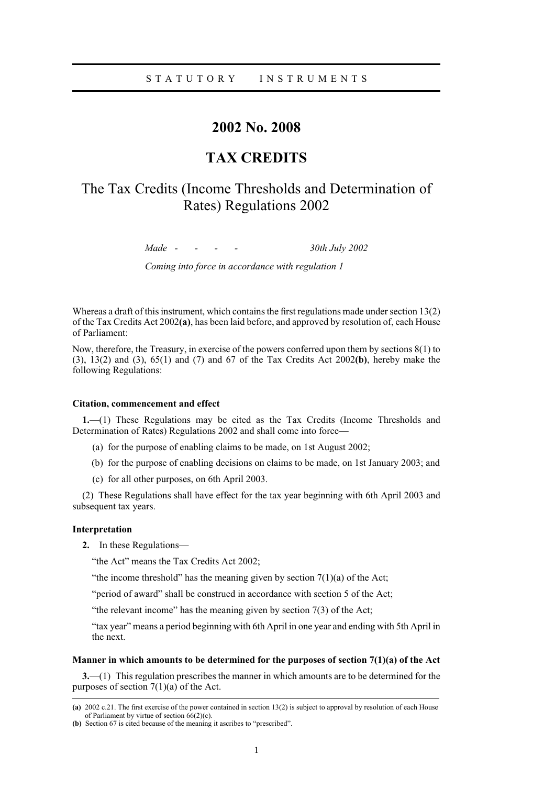## STATUTORY INSTRUMENTS

## **2002 No. 2008**

## **TAX CREDITS**

# The Tax Credits (Income Thresholds and Determination of Rates) Regulations 2002

*Made - - - - 30th July 2002*

*Coming into force in accordance with regulation 1*

Whereas a draft of this instrument, which contains the first regulations made under section 13(2) of the Tax Credits Act 2002**(a)**, has been laid before, and approved by resolution of, each House of Parliament:

Now, therefore, the Treasury, in exercise of the powers conferred upon them by sections 8(1) to (3), 13(2) and (3), 65(1) and (7) and 67 of the Tax Credits Act 2002**(b)**, hereby make the following Regulations:

## **Citation, commencement and effect**

**1.**—(1) These Regulations may be cited as the Tax Credits (Income Thresholds and Determination of Rates) Regulations 2002 and shall come into force—

- (a) for the purpose of enabling claims to be made, on 1st August 2002;
- (b) for the purpose of enabling decisions on claims to be made, on 1st January 2003; and
- (c) for all other purposes, on 6th April 2003.

(2) These Regulations shall have effect for the tax year beginning with 6th April 2003 and subsequent tax years.

### **Interpretation**

**2.** In these Regulations—

"the Act" means the Tax Credits Act 2002;

"the income threshold" has the meaning given by section  $7(1)(a)$  of the Act;

"period of award" shall be construed in accordance with section 5 of the Act;

"the relevant income" has the meaning given by section 7(3) of the Act;

"tax year" means a period beginning with 6th April in one year and ending with 5th April in the next.

## **Manner in which amounts to be determined for the purposes of section 7(1)(a) of the Act**

**3.**—(1) This regulation prescribes the manner in which amounts are to be determined for the purposes of section  $7(1)(a)$  of the Act.

**<sup>(</sup>a)** 2002 c.21. The first exercise of the power contained in section 13(2) is subject to approval by resolution of each House of Parliament by virtue of section  $66(2)(c)$ .

**<sup>(</sup>b)** Section 67 is cited because of the meaning it ascribes to "prescribed".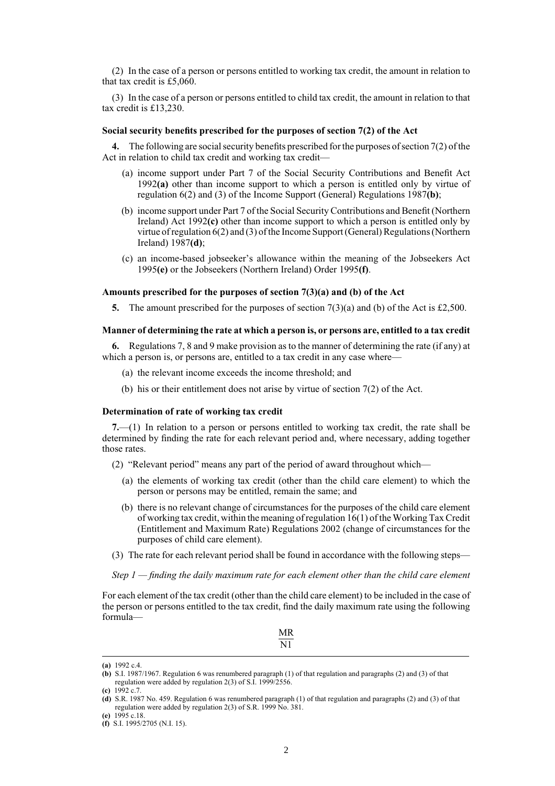(2) In the case of a person or persons entitled to working tax credit, the amount in relation to that tax credit is £5,060.

(3) In the case of a person or persons entitled to child tax credit, the amount in relation to that tax credit is £13,230.

#### **Social security benefits prescribed for the purposes of section 7(2) of the Act**

**4.** The following are social security benefits prescribed for the purposes of section 7(2) of the Act in relation to child tax credit and working tax credit—

- (a) income support under Part 7 of the Social Security Contributions and Benefit Act 1992**(a)** other than income support to which a person is entitled only by virtue of regulation 6(2) and (3) of the Income Support (General) Regulations 1987**(b)**;
- (b) income support under Part 7 of the Social Security Contributions and Benefit (Northern Ireland) Act 1992**(c)** other than income support to which a person is entitled only by virtue of regulation 6(2) and (3) of the Income Support (General) Regulations (Northern Ireland) 1987**(d)**;
- (c) an income-based jobseeker's allowance within the meaning of the Jobseekers Act 1995**(e)** or the Jobseekers (Northern Ireland) Order 1995**(f)**.

## **Amounts prescribed for the purposes of section 7(3)(a) and (b) of the Act**

**5.** The amount prescribed for the purposes of section 7(3)(a) and (b) of the Act is £2,500.

## **Manner of determining the rate at which a person is, or persons are, entitled to a tax credit**

**6.** Regulations 7, 8 and 9 make provision as to the manner of determining the rate (if any) at which a person is, or persons are, entitled to a tax credit in any case where—

- (a) the relevant income exceeds the income threshold; and
- (b) his or their entitlement does not arise by virtue of section 7(2) of the Act.

#### **Determination of rate of working tax credit**

**7.**—(1) In relation to a person or persons entitled to working tax credit, the rate shall be determined by finding the rate for each relevant period and, where necessary, adding together those rates.

(2) "Relevant period" means any part of the period of award throughout which—

- (a) the elements of working tax credit (other than the child care element) to which the person or persons may be entitled, remain the same; and
- (b) there is no relevant change of circumstances for the purposes of the child care element of working tax credit, within the meaning of regulation 16(1) of the Working Tax Credit (Entitlement and Maximum Rate) Regulations 2002 (change of circumstances for the purposes of child care element).
- (3) The rate for each relevant period shall be found in accordance with the following steps—

*Step 1 — finding the daily maximum rate for each element other than the child care element*

For each element of the tax credit (other than the child care element) to be included in the case of the person or persons entitled to the tax credit, find the daily maximum rate using the following formula—

**<sup>(</sup>a)** 1992 c.4.

**<sup>(</sup>b)** S.I. 1987/1967. Regulation 6 was renumbered paragraph (1) of that regulation and paragraphs (2) and (3) of that regulation were added by regulation 2(3) of S.I. 1999/2556.

**<sup>(</sup>c)** 1992 c.7.

**<sup>(</sup>d)** S.R. 1987 No. 459. Regulation 6 was renumbered paragraph (1) of that regulation and paragraphs (2) and (3) of that regulation were added by regulation 2(3) of S.R. 1999 No. 381.

**<sup>(</sup>e)** 1995 c.18. **(f)** S.I. 1995/2705 (N.I. 15).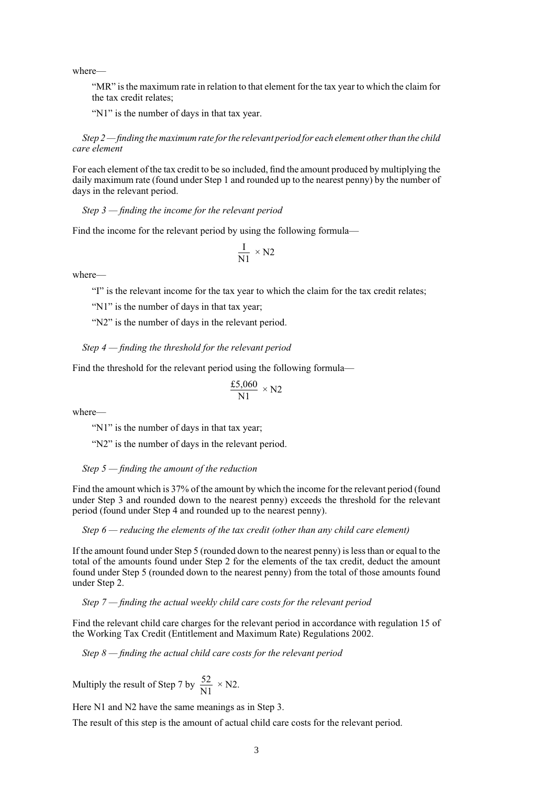where—

"MR" is the maximum rate in relation to that element for the tax year to which the claim for the tax credit relates;

"N1" is the number of days in that tax year.

*Step 2 — finding the maximum rate for the relevant period for each element other than the child care element*

For each element of the tax credit to be so included, find the amount produced by multiplying the daily maximum rate (found under Step 1 and rounded up to the nearest penny) by the number of days in the relevant period.

*Step 3 — finding the income for the relevant period*

Find the income for the relevant period by using the following formula—

$$
\frac{I}{N1} \times N2
$$

where—

"I" is the relevant income for the tax year to which the claim for the tax credit relates;

"N1" is the number of days in that tax year;

"N2" is the number of days in the relevant period.

*Step 4 — finding the threshold for the relevant period*

Find the threshold for the relevant period using the following formula—

$$
\frac{\text{\pounds}5,060}{\text{N1}} \times \text{N2}
$$

where—

"N1" is the number of days in that tax year;

"N2" is the number of days in the relevant period.

*Step 5 — finding the amount of the reduction*

Find the amount which is 37% of the amount by which the income for the relevant period (found under Step 3 and rounded down to the nearest penny) exceeds the threshold for the relevant period (found under Step 4 and rounded up to the nearest penny).

*Step 6 — reducing the elements of the tax credit (other than any child care element)*

If the amount found under Step 5 (rounded down to the nearest penny) is less than or equal to the total of the amounts found under Step 2 for the elements of the tax credit, deduct the amount found under Step 5 (rounded down to the nearest penny) from the total of those amounts found under Step 2.

*Step 7 — finding the actual weekly child care costs for the relevant period*

Find the relevant child care charges for the relevant period in accordance with regulation 15 of the Working Tax Credit (Entitlement and Maximum Rate) Regulations 2002.

*Step 8 — finding the actual child care costs for the relevant period*

Multiply the result of Step 7 by  $\frac{52}{N1} \times N2$ .

Here N1 and N2 have the same meanings as in Step 3.

The result of this step is the amount of actual child care costs for the relevant period.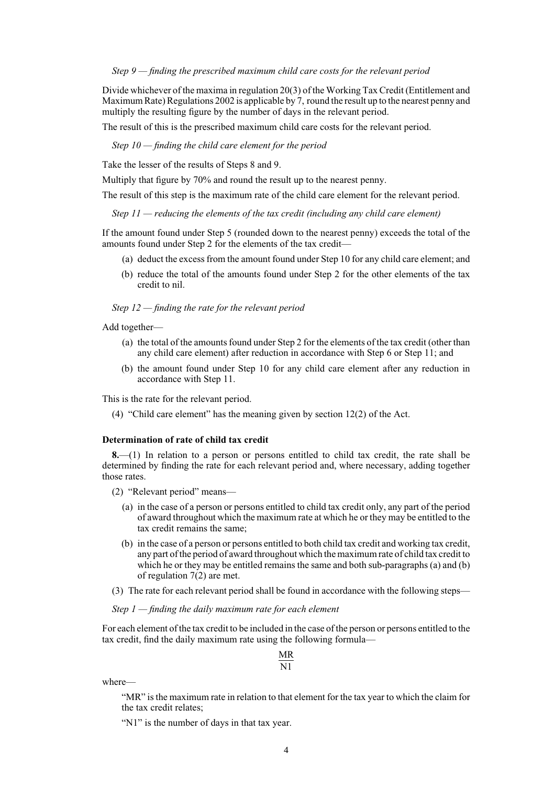*Step 9 — finding the prescribed maximum child care costs for the relevant period*

Divide whichever of the maxima in regulation 20(3) of the Working Tax Credit (Entitlement and Maximum Rate) Regulations 2002 is applicable by 7, round the result up to the nearest penny and multiply the resulting figure by the number of days in the relevant period.

The result of this is the prescribed maximum child care costs for the relevant period.

*Step 10 — finding the child care element for the period*

Take the lesser of the results of Steps 8 and 9.

Multiply that figure by 70% and round the result up to the nearest penny.

The result of this step is the maximum rate of the child care element for the relevant period.

*Step 11 — reducing the elements of the tax credit (including any child care element)*

If the amount found under Step 5 (rounded down to the nearest penny) exceeds the total of the amounts found under Step 2 for the elements of the tax credit—

- (a) deduct the excess from the amount found under Step 10 for any child care element; and
- (b) reduce the total of the amounts found under Step 2 for the other elements of the tax credit to nil.

#### *Step 12 — finding the rate for the relevant period*

Add together—

- (a) the total of the amounts found under Step 2 for the elements of the tax credit (other than any child care element) after reduction in accordance with Step 6 or Step 11; and
- (b) the amount found under Step 10 for any child care element after any reduction in accordance with Step 11.

This is the rate for the relevant period.

(4) "Child care element" has the meaning given by section 12(2) of the Act.

#### **Determination of rate of child tax credit**

**8.**—(1) In relation to a person or persons entitled to child tax credit, the rate shall be determined by finding the rate for each relevant period and, where necessary, adding together those rates.

(2) "Relevant period" means—

- (a) in the case of a person or persons entitled to child tax credit only, any part of the period of award throughout which the maximum rate at which he or they may be entitled to the tax credit remains the same;
- (b) in the case of a person or persons entitled to both child tax credit and working tax credit, any part of the period of award throughout which the maximum rate of child tax credit to which he or they may be entitled remains the same and both sub-paragraphs (a) and (b) of regulation 7(2) are met.
- (3) The rate for each relevant period shall be found in accordance with the following steps—

*Step 1 — finding the daily maximum rate for each element*

For each element of the tax credit to be included in the case of the person or persons entitled to the tax credit, find the daily maximum rate using the following formula—

## MR **N1**

where—

"MR" is the maximum rate in relation to that element for the tax year to which the claim for the tax credit relates;

"N1" is the number of days in that tax year.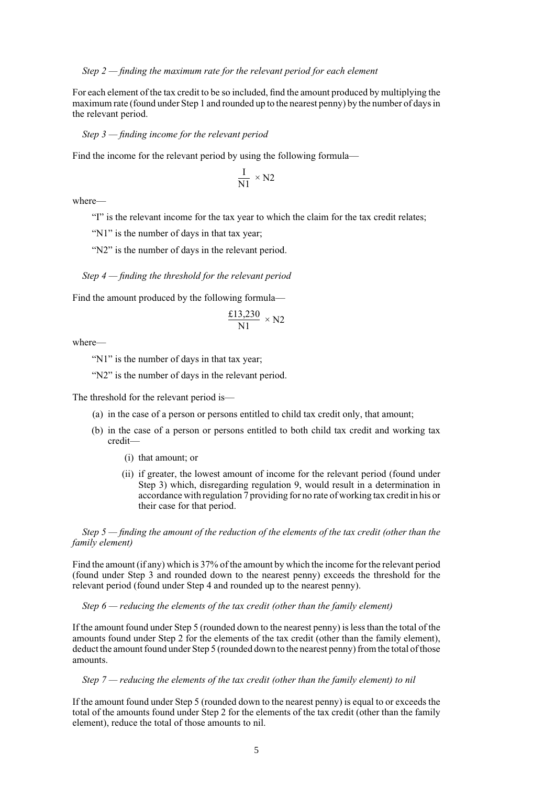*Step 2 — finding the maximum rate for the relevant period for each element*

For each element of the tax credit to be so included, find the amount produced by multiplying the maximum rate (found under Step 1 and rounded up to the nearest penny) by the number of days in the relevant period.

*Step 3 — finding income for the relevant period*

Find the income for the relevant period by using the following formula—

$$
\frac{I}{N1} \times N2
$$

where—

"I" is the relevant income for the tax year to which the claim for the tax credit relates;

"N1" is the number of days in that tax year:

"N2" is the number of days in the relevant period.

*Step 4 — finding the threshold for the relevant period*

Find the amount produced by the following formula—

$$
\frac{\text{\pounds}13,230}{\text{N1}} \times \text{N2}
$$

where—

"N1" is the number of days in that tax year;

"N2" is the number of days in the relevant period.

The threshold for the relevant period is—

- (a) in the case of a person or persons entitled to child tax credit only, that amount;
- (b) in the case of a person or persons entitled to both child tax credit and working tax credit—
	- (i) that amount; or
	- (ii) if greater, the lowest amount of income for the relevant period (found under Step 3) which, disregarding regulation 9, would result in a determination in accordance with regulation 7 providing for no rate of working tax credit in his or their case for that period.

*Step 5 — finding the amount of the reduction of the elements of the tax credit (other than the family element)*

Find the amount (if any) which is 37% of the amount by which the income for the relevant period (found under Step 3 and rounded down to the nearest penny) exceeds the threshold for the relevant period (found under Step 4 and rounded up to the nearest penny).

*Step 6 — reducing the elements of the tax credit (other than the family element)*

If the amount found under Step 5 (rounded down to the nearest penny) is less than the total of the amounts found under Step 2 for the elements of the tax credit (other than the family element), deduct the amount found under Step 5 (rounded down to the nearest penny) from the total of those amounts.

### *Step 7 — reducing the elements of the tax credit (other than the family element) to nil*

If the amount found under Step 5 (rounded down to the nearest penny) is equal to or exceeds the total of the amounts found under Step 2 for the elements of the tax credit (other than the family element), reduce the total of those amounts to nil.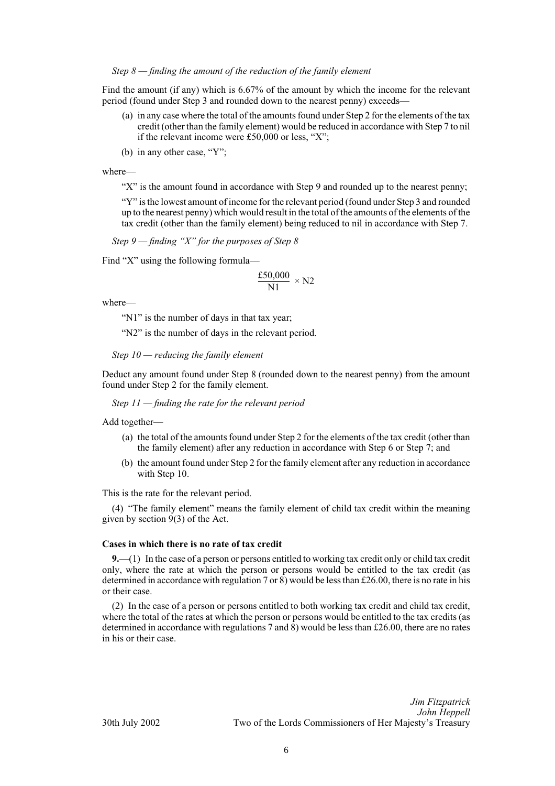*Step 8 — finding the amount of the reduction of the family element*

Find the amount (if any) which is 6.67% of the amount by which the income for the relevant period (found under Step 3 and rounded down to the nearest penny) exceeds—

- (a) in any case where the total of the amounts found under Step 2 for the elements of the tax credit (other than the family element) would be reduced in accordance with Step 7 to nil if the relevant income were £50,000 or less, "X";
- (b) in any other case, "Y";

where—

"X" is the amount found in accordance with Step 9 and rounded up to the nearest penny;

"Y" is the lowest amount of income for the relevant period (found under Step 3 and rounded up to the nearest penny) which would result in the total of the amounts of the elements of the tax credit (other than the family element) being reduced to nil in accordance with Step 7.

*Step 9 — finding "X" for the purposes of Step 8*

Find "X" using the following formula—

$$
\frac{\text{\pounds}50,\!000}{N1}\,\times N2
$$

where—

"N1" is the number of days in that tax year;

"N2" is the number of days in the relevant period.

*Step 10 — reducing the family element*

Deduct any amount found under Step 8 (rounded down to the nearest penny) from the amount found under Step 2 for the family element.

*Step 11 — finding the rate for the relevant period*

Add together—

- (a) the total of the amounts found under Step 2 for the elements of the tax credit (other than the family element) after any reduction in accordance with Step 6 or Step 7; and
- (b) the amount found under Step 2 for the family element after any reduction in accordance with Step 10.

This is the rate for the relevant period.

(4) "The family element" means the family element of child tax credit within the meaning given by section 9(3) of the Act.

#### **Cases in which there is no rate of tax credit**

**9.**—(1) In the case of a person or persons entitled to working tax credit only or child tax credit only, where the rate at which the person or persons would be entitled to the tax credit (as determined in accordance with regulation 7 or 8) would be less than £26.00, there is no rate in his or their case.

(2) In the case of a person or persons entitled to both working tax credit and child tax credit, where the total of the rates at which the person or persons would be entitled to the tax credits (as determined in accordance with regulations 7 and  $\hat{8}$ ) would be less than £26.00, there are no rates in his or their case.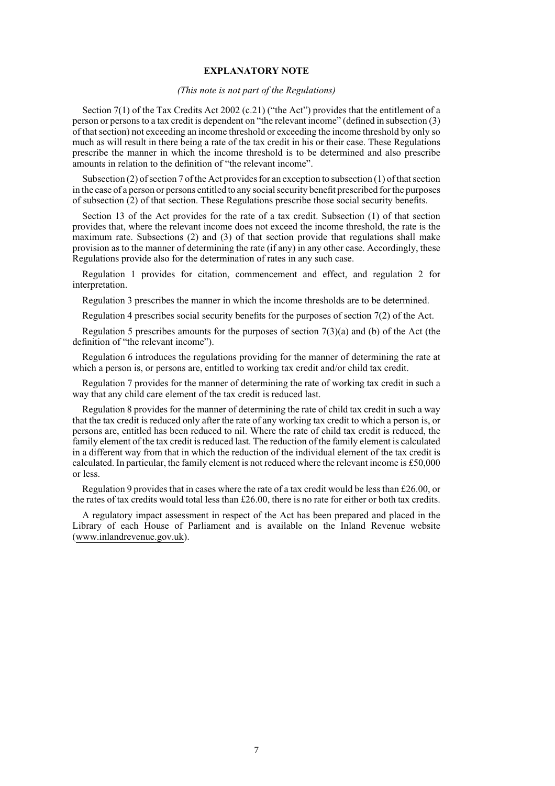#### **EXPLANATORY NOTE**

## *(This note is not part of the Regulations)*

Section 7(1) of the Tax Credits Act 2002 (c.21) ("the Act") provides that the entitlement of a person or persons to a tax credit is dependent on "the relevant income" (defined in subsection (3) of that section) not exceeding an income threshold or exceeding the income threshold by only so much as will result in there being a rate of the tax credit in his or their case. These Regulations prescribe the manner in which the income threshold is to be determined and also prescribe amounts in relation to the definition of "the relevant income".

Subsection (2) of section 7 of the Act provides for an exception to subsection (1) of that section in the case of a person or persons entitled to any social security benefit prescribed for the purposes of subsection (2) of that section. These Regulations prescribe those social security benefits.

Section 13 of the Act provides for the rate of a tax credit. Subsection (1) of that section provides that, where the relevant income does not exceed the income threshold, the rate is the maximum rate. Subsections (2) and (3) of that section provide that regulations shall make provision as to the manner of determining the rate (if any) in any other case. Accordingly, these Regulations provide also for the determination of rates in any such case.

Regulation 1 provides for citation, commencement and effect, and regulation 2 for interpretation.

Regulation 3 prescribes the manner in which the income thresholds are to be determined.

Regulation 4 prescribes social security benefits for the purposes of section 7(2) of the Act.

Regulation 5 prescribes amounts for the purposes of section  $7(3)(a)$  and (b) of the Act (the definition of "the relevant income").

Regulation 6 introduces the regulations providing for the manner of determining the rate at which a person is, or persons are, entitled to working tax credit and/or child tax credit.

Regulation 7 provides for the manner of determining the rate of working tax credit in such a way that any child care element of the tax credit is reduced last.

Regulation 8 provides for the manner of determining the rate of child tax credit in such a way that the tax credit is reduced only after the rate of any working tax credit to which a person is, or persons are, entitled has been reduced to nil. Where the rate of child tax credit is reduced, the family element of the tax credit is reduced last. The reduction of the family element is calculated in a different way from that in which the reduction of the individual element of the tax credit is calculated. In particular, the family element is not reduced where the relevant income is £50,000 or less.

Regulation 9 provides that in cases where the rate of a tax credit would be less than £26.00, or the rates of tax credits would total less than  $£26.00$ , there is no rate for either or both tax credits.

A regulatory impact assessment in respect of the Act has been prepared and placed in the Library of each House of Parliament and is available on the Inland Revenue website (www.inlandrevenue.gov.uk).